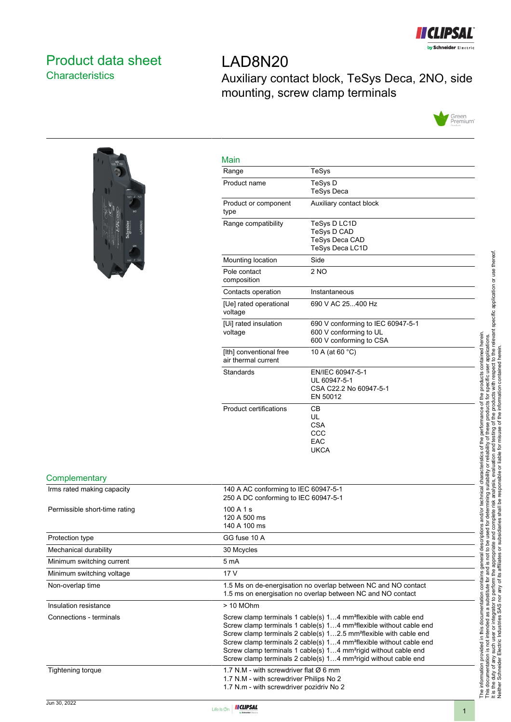

## <span id="page-0-0"></span>Product data sheet **Characteristics**

# LAD8N20 Auxiliary contact block, TeSys Deca, 2NO, side mounting, screw clamp terminals





| TeSys                                        |                                                                                                                                                                                                                                                                                                                                                                                                                                                                                                |                                                                                           |
|----------------------------------------------|------------------------------------------------------------------------------------------------------------------------------------------------------------------------------------------------------------------------------------------------------------------------------------------------------------------------------------------------------------------------------------------------------------------------------------------------------------------------------------------------|-------------------------------------------------------------------------------------------|
| TeSys D                                      | <b>TeSys Deca</b>                                                                                                                                                                                                                                                                                                                                                                                                                                                                              |                                                                                           |
|                                              | Auxiliary contact block                                                                                                                                                                                                                                                                                                                                                                                                                                                                        |                                                                                           |
|                                              | TeSys D LC1D<br>TeSys D CAD<br>TeSys Deca CAD<br>TeSys Deca LC1D                                                                                                                                                                                                                                                                                                                                                                                                                               |                                                                                           |
| Side                                         |                                                                                                                                                                                                                                                                                                                                                                                                                                                                                                |                                                                                           |
| 2 NO                                         |                                                                                                                                                                                                                                                                                                                                                                                                                                                                                                |                                                                                           |
|                                              | Instantaneous                                                                                                                                                                                                                                                                                                                                                                                                                                                                                  |                                                                                           |
|                                              | 690 V AC 25400 Hz                                                                                                                                                                                                                                                                                                                                                                                                                                                                              |                                                                                           |
|                                              | 690 V conforming to IEC 60947-5-1<br>600 V conforming to UL<br>600 V conforming to CSA                                                                                                                                                                                                                                                                                                                                                                                                         |                                                                                           |
|                                              | 10 A (at 60 °C)                                                                                                                                                                                                                                                                                                                                                                                                                                                                                |                                                                                           |
|                                              | EN/IEC 60947-5-1<br>UL 60947-5-1<br>CSA C22.2 No 60947-5-1<br>EN 50012                                                                                                                                                                                                                                                                                                                                                                                                                         |                                                                                           |
| CВ<br>UL<br>CSA<br>CCC<br>EAC<br><b>UKCA</b> |                                                                                                                                                                                                                                                                                                                                                                                                                                                                                                | ons and/or technical characteristics of the performance of the products contained herein. |
|                                              | 140 A AC conforming to IEC 60947-5-1<br>250 A DC conforming to IEC 60947-5-1                                                                                                                                                                                                                                                                                                                                                                                                                   |                                                                                           |
|                                              |                                                                                                                                                                                                                                                                                                                                                                                                                                                                                                |                                                                                           |
|                                              |                                                                                                                                                                                                                                                                                                                                                                                                                                                                                                |                                                                                           |
|                                              |                                                                                                                                                                                                                                                                                                                                                                                                                                                                                                |                                                                                           |
|                                              |                                                                                                                                                                                                                                                                                                                                                                                                                                                                                                |                                                                                           |
|                                              |                                                                                                                                                                                                                                                                                                                                                                                                                                                                                                |                                                                                           |
|                                              | 1.5 Ms on de-energisation no overlap between NC and NO contact<br>1.5 ms on energisation no overlap between NC and NO contact                                                                                                                                                                                                                                                                                                                                                                  |                                                                                           |
|                                              |                                                                                                                                                                                                                                                                                                                                                                                                                                                                                                |                                                                                           |
|                                              | Screw clamp terminals 1 cable(s) 14 mm <sup>2</sup> flexible with cable end<br>Screw clamp terminals 1 cable(s) 14 mm <sup>2</sup> flexible without cable end<br>Screw clamp terminals 2 cable(s) 12.5 mm <sup>2</sup> flexible with cable end<br>Screw clamp terminals 2 cable(s) 14 mm <sup>2</sup> flexible without cable end<br>Screw clamp terminals 1 cable(s) 14 mm <sup>2</sup> rigid without cable end<br>Screw clamp terminals 2 cable(s) 14 mm <sup>2</sup> rigid without cable end | he information provided in this documentation contains general descript                   |
|                                              | 1.7 N.M - with screwdriver flat $\varnothing$ 6 mm                                                                                                                                                                                                                                                                                                                                                                                                                                             |                                                                                           |
|                                              | 1.7 N.M - with screwdriver Philips No 2<br>1.7 N.m - with screwdriver pozidriv No 2                                                                                                                                                                                                                                                                                                                                                                                                            |                                                                                           |



**Complementary** Irms rated making capacity

Protection type Mechanical durability Minimum switching current Minimum switching voltage

Non-overlap time

Permissible short-time rating

Insulation resistance  $\rightarrow$  10 MOhm



Tightening torque 1.7 N.M - with screwdriver flat Ø 6 mm

Connections - terminals Screw clamp terminals 1 cable(s) 1...4 mm<sup>2</sup>flexible with cable end